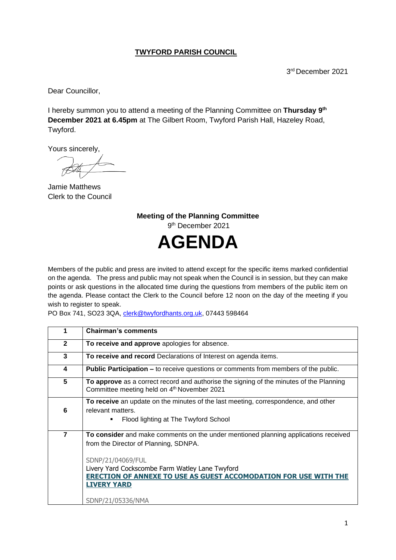## **TWYFORD PARISH COUNCIL**

3 rd December 2021

Dear Councillor,

I hereby summon you to attend a meeting of the Planning Committee on Thursday 9<sup>th</sup> **December 2021 at 6.45pm** at The Gilbert Room, Twyford Parish Hall, Hazeley Road, Twyford.

Yours sincerely,

Jamie Matthews Clerk to the Council

**Meeting of the Planning Committee** 9 th December 2021 **AGENDA**

Members of the public and press are invited to attend except for the specific items marked confidential on the agenda. The press and public may not speak when the Council is in session, but they can make points or ask questions in the allocated time during the questions from members of the public item on the agenda. Please contact the Clerk to the Council before 12 noon on the day of the meeting if you wish to register to speak.

PO Box 741, SO23 3QA, [clerk@twyfordhants.org.uk,](mailto:clerk@twyfordhants.org.uk) 07443 598464

| 1              | <b>Chairman's comments</b>                                                                                                                                                                                                                                                                                                 |
|----------------|----------------------------------------------------------------------------------------------------------------------------------------------------------------------------------------------------------------------------------------------------------------------------------------------------------------------------|
| $\mathbf{2}$   | To receive and approve apologies for absence.                                                                                                                                                                                                                                                                              |
| 3              | To receive and record Declarations of Interest on agenda items.                                                                                                                                                                                                                                                            |
| 4              | <b>Public Participation –</b> to receive questions or comments from members of the public.                                                                                                                                                                                                                                 |
| 5              | To approve as a correct record and authorise the signing of the minutes of the Planning<br>Committee meeting held on 4 <sup>th</sup> November 2021                                                                                                                                                                         |
| 6              | To receive an update on the minutes of the last meeting, correspondence, and other<br>relevant matters.<br>Flood lighting at The Twyford School                                                                                                                                                                            |
| $\overline{7}$ | To consider and make comments on the under mentioned planning applications received<br>from the Director of Planning, SDNPA.<br>SDNP/21/04069/FUL<br>Livery Yard Cockscombe Farm Watley Lane Twyford<br><b>ERECTION OF ANNEXE TO USE AS GUEST ACCOMODATION FOR USE WITH THE</b><br><b>LIVERY YARD</b><br>SDNP/21/05336/NMA |